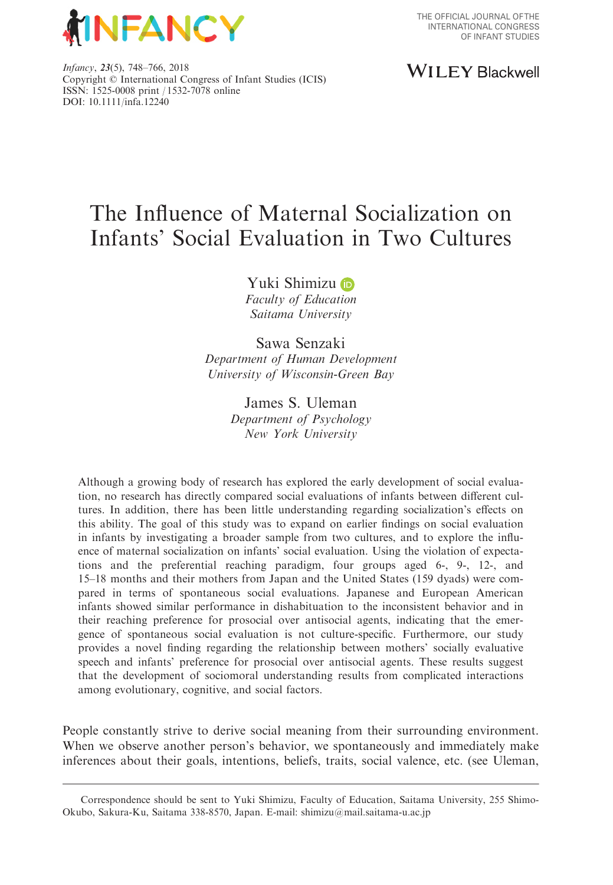

Infancy, 23(5), 748–766, 2018 Copyright © International Congress of Infant Studies (ICIS) ISSN: 1525-0008 print / 1532-7078 online DOI: 10.1111/infa.12240

# **WILEY Blackwell**

# The Influence of Maternal Socialization on Infants' Social Evaluation in Two Cultures

Yuki Shimizu **D** Faculty of Education Saitama University

Sawa Senzaki Department of Human Development University of Wisconsin-Green Bay

> James S. Uleman Department of Psychology New York University

Although a growing body of research has explored the early development of social evaluation, no research has directly compared social evaluations of infants between different cultures. In addition, there has been little understanding regarding socialization's effects on this ability. The goal of this study was to expand on earlier findings on social evaluation in infants by investigating a broader sample from two cultures, and to explore the influence of maternal socialization on infants' social evaluation. Using the violation of expectations and the preferential reaching paradigm, four groups aged 6-, 9-, 12-, and 15–18 months and their mothers from Japan and the United States (159 dyads) were compared in terms of spontaneous social evaluations. Japanese and European American infants showed similar performance in dishabituation to the inconsistent behavior and in their reaching preference for prosocial over antisocial agents, indicating that the emergence of spontaneous social evaluation is not culture-specific. Furthermore, our study provides a novel finding regarding the relationship between mothers' socially evaluative speech and infants' preference for prosocial over antisocial agents. These results suggest that the development of sociomoral understanding results from complicated interactions among evolutionary, cognitive, and social factors.

People constantly strive to derive social meaning from their surrounding environment. When we observe another person's behavior, we spontaneously and immediately make inferences about their goals, intentions, beliefs, traits, social valence, etc. (see Uleman,

Correspondence should be sent to Yuki Shimizu, Faculty of Education, Saitama University, 255 Shimo-Okubo, Sakura-Ku, Saitama 338-8570, Japan. E-mail: shimizu@mail.saitama-u.ac.jp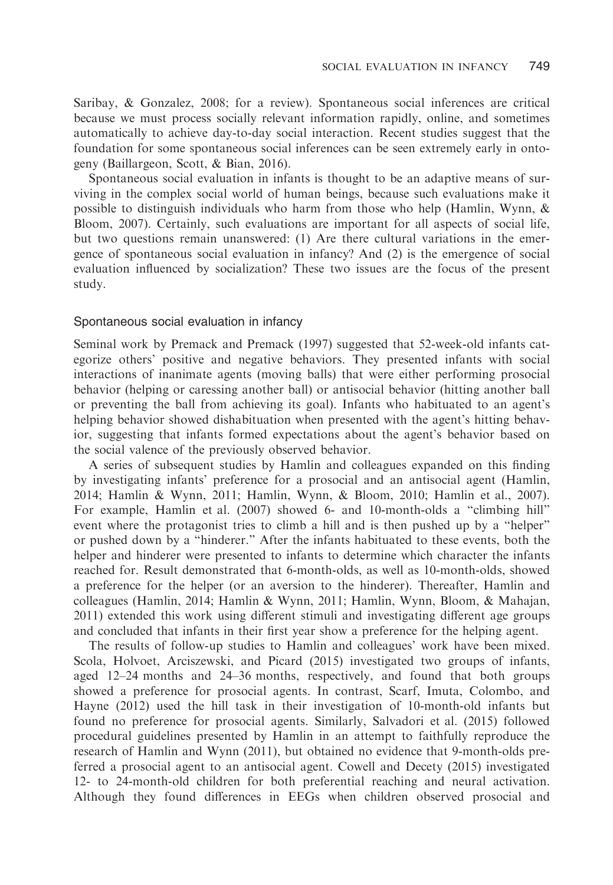Saribay, & Gonzalez, 2008; for a review). Spontaneous social inferences are critical because we must process socially relevant information rapidly, online, and sometimes automatically to achieve day-to-day social interaction. Recent studies suggest that the foundation for some spontaneous social inferences can be seen extremely early in ontogeny (Baillargeon, Scott, & Bian, 2016).

Spontaneous social evaluation in infants is thought to be an adaptive means of surviving in the complex social world of human beings, because such evaluations make it possible to distinguish individuals who harm from those who help (Hamlin, Wynn, & Bloom, 2007). Certainly, such evaluations are important for all aspects of social life, but two questions remain unanswered: (1) Are there cultural variations in the emergence of spontaneous social evaluation in infancy? And (2) is the emergence of social evaluation influenced by socialization? These two issues are the focus of the present study.

## Spontaneous social evaluation in infancy

Seminal work by Premack and Premack (1997) suggested that 52-week-old infants categorize others' positive and negative behaviors. They presented infants with social interactions of inanimate agents (moving balls) that were either performing prosocial behavior (helping or caressing another ball) or antisocial behavior (hitting another ball or preventing the ball from achieving its goal). Infants who habituated to an agent's helping behavior showed dishabituation when presented with the agent's hitting behavior, suggesting that infants formed expectations about the agent's behavior based on the social valence of the previously observed behavior.

A series of subsequent studies by Hamlin and colleagues expanded on this finding by investigating infants' preference for a prosocial and an antisocial agent (Hamlin, 2014; Hamlin & Wynn, 2011; Hamlin, Wynn, & Bloom, 2010; Hamlin et al., 2007). For example, Hamlin et al. (2007) showed 6- and 10-month-olds a "climbing hill" event where the protagonist tries to climb a hill and is then pushed up by a "helper" or pushed down by a "hinderer." After the infants habituated to these events, both the helper and hinderer were presented to infants to determine which character the infants reached for. Result demonstrated that 6-month-olds, as well as 10-month-olds, showed a preference for the helper (or an aversion to the hinderer). Thereafter, Hamlin and colleagues (Hamlin, 2014; Hamlin & Wynn, 2011; Hamlin, Wynn, Bloom, & Mahajan, 2011) extended this work using different stimuli and investigating different age groups and concluded that infants in their first year show a preference for the helping agent.

The results of follow-up studies to Hamlin and colleagues' work have been mixed. Scola, Holvoet, Arciszewski, and Picard (2015) investigated two groups of infants, aged 12–24 months and 24–36 months, respectively, and found that both groups showed a preference for prosocial agents. In contrast, Scarf, Imuta, Colombo, and Hayne (2012) used the hill task in their investigation of 10-month-old infants but found no preference for prosocial agents. Similarly, Salvadori et al. (2015) followed procedural guidelines presented by Hamlin in an attempt to faithfully reproduce the research of Hamlin and Wynn (2011), but obtained no evidence that 9-month-olds preferred a prosocial agent to an antisocial agent. Cowell and Decety (2015) investigated 12- to 24-month-old children for both preferential reaching and neural activation. Although they found differences in EEGs when children observed prosocial and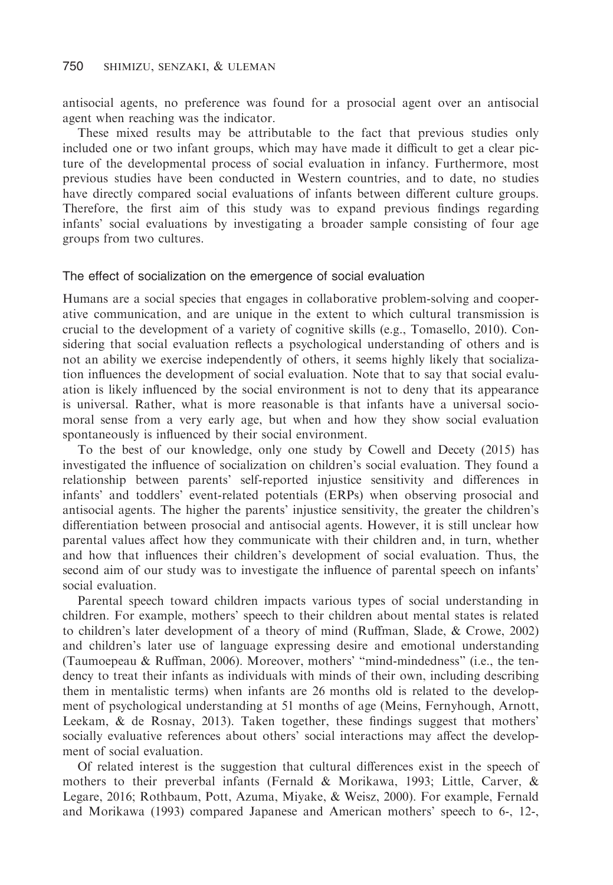antisocial agents, no preference was found for a prosocial agent over an antisocial agent when reaching was the indicator.

These mixed results may be attributable to the fact that previous studies only included one or two infant groups, which may have made it difficult to get a clear picture of the developmental process of social evaluation in infancy. Furthermore, most previous studies have been conducted in Western countries, and to date, no studies have directly compared social evaluations of infants between different culture groups. Therefore, the first aim of this study was to expand previous findings regarding infants' social evaluations by investigating a broader sample consisting of four age groups from two cultures.

# The effect of socialization on the emergence of social evaluation

Humans are a social species that engages in collaborative problem-solving and cooperative communication, and are unique in the extent to which cultural transmission is crucial to the development of a variety of cognitive skills (e.g., Tomasello, 2010). Considering that social evaluation reflects a psychological understanding of others and is not an ability we exercise independently of others, it seems highly likely that socialization influences the development of social evaluation. Note that to say that social evaluation is likely influenced by the social environment is not to deny that its appearance is universal. Rather, what is more reasonable is that infants have a universal sociomoral sense from a very early age, but when and how they show social evaluation spontaneously is influenced by their social environment.

To the best of our knowledge, only one study by Cowell and Decety (2015) has investigated the influence of socialization on children's social evaluation. They found a relationship between parents' self-reported injustice sensitivity and differences in infants' and toddlers' event-related potentials (ERPs) when observing prosocial and antisocial agents. The higher the parents' injustice sensitivity, the greater the children's differentiation between prosocial and antisocial agents. However, it is still unclear how parental values affect how they communicate with their children and, in turn, whether and how that influences their children's development of social evaluation. Thus, the second aim of our study was to investigate the influence of parental speech on infants' social evaluation.

Parental speech toward children impacts various types of social understanding in children. For example, mothers' speech to their children about mental states is related to children's later development of a theory of mind (Ruffman, Slade, & Crowe, 2002) and children's later use of language expressing desire and emotional understanding (Taumoepeau & Ruffman, 2006). Moreover, mothers' "mind-mindedness" (i.e., the tendency to treat their infants as individuals with minds of their own, including describing them in mentalistic terms) when infants are 26 months old is related to the development of psychological understanding at 51 months of age (Meins, Fernyhough, Arnott, Leekam, & de Rosnay, 2013). Taken together, these findings suggest that mothers' socially evaluative references about others' social interactions may affect the development of social evaluation.

Of related interest is the suggestion that cultural differences exist in the speech of mothers to their preverbal infants (Fernald & Morikawa, 1993; Little, Carver, & Legare, 2016; Rothbaum, Pott, Azuma, Miyake, & Weisz, 2000). For example, Fernald and Morikawa (1993) compared Japanese and American mothers' speech to 6-, 12-,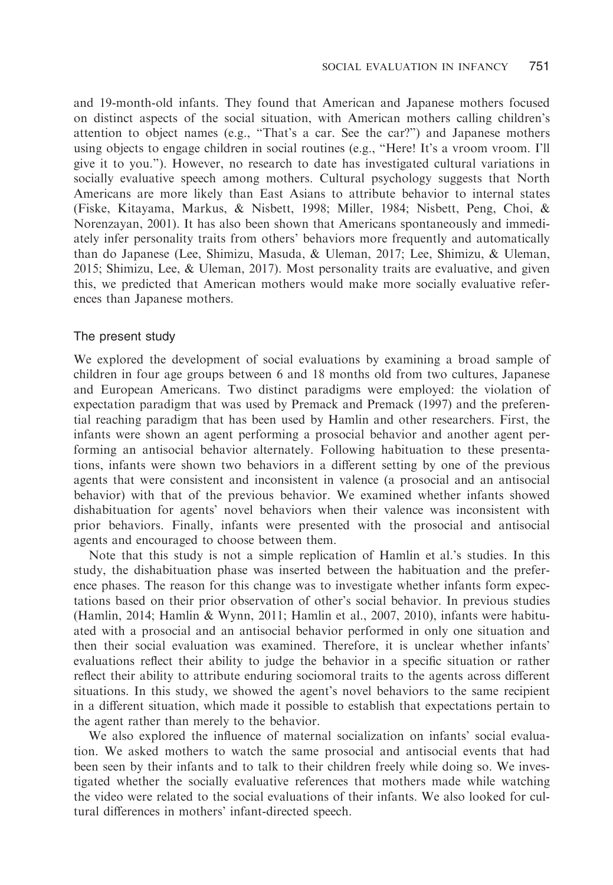and 19-month-old infants. They found that American and Japanese mothers focused on distinct aspects of the social situation, with American mothers calling children's attention to object names (e.g., "That's a car. See the car?") and Japanese mothers using objects to engage children in social routines (e.g., "Here! It's a vroom vroom. I'll give it to you."). However, no research to date has investigated cultural variations in socially evaluative speech among mothers. Cultural psychology suggests that North Americans are more likely than East Asians to attribute behavior to internal states (Fiske, Kitayama, Markus, & Nisbett, 1998; Miller, 1984; Nisbett, Peng, Choi, & Norenzayan, 2001). It has also been shown that Americans spontaneously and immediately infer personality traits from others' behaviors more frequently and automatically than do Japanese (Lee, Shimizu, Masuda, & Uleman, 2017; Lee, Shimizu, & Uleman, 2015; Shimizu, Lee, & Uleman, 2017). Most personality traits are evaluative, and given this, we predicted that American mothers would make more socially evaluative references than Japanese mothers.

# The present study

We explored the development of social evaluations by examining a broad sample of children in four age groups between 6 and 18 months old from two cultures, Japanese and European Americans. Two distinct paradigms were employed: the violation of expectation paradigm that was used by Premack and Premack (1997) and the preferential reaching paradigm that has been used by Hamlin and other researchers. First, the infants were shown an agent performing a prosocial behavior and another agent performing an antisocial behavior alternately. Following habituation to these presentations, infants were shown two behaviors in a different setting by one of the previous agents that were consistent and inconsistent in valence (a prosocial and an antisocial behavior) with that of the previous behavior. We examined whether infants showed dishabituation for agents' novel behaviors when their valence was inconsistent with prior behaviors. Finally, infants were presented with the prosocial and antisocial agents and encouraged to choose between them.

Note that this study is not a simple replication of Hamlin et al.'s studies. In this study, the dishabituation phase was inserted between the habituation and the preference phases. The reason for this change was to investigate whether infants form expectations based on their prior observation of other's social behavior. In previous studies (Hamlin, 2014; Hamlin & Wynn, 2011; Hamlin et al., 2007, 2010), infants were habituated with a prosocial and an antisocial behavior performed in only one situation and then their social evaluation was examined. Therefore, it is unclear whether infants' evaluations reflect their ability to judge the behavior in a specific situation or rather reflect their ability to attribute enduring sociomoral traits to the agents across different situations. In this study, we showed the agent's novel behaviors to the same recipient in a different situation, which made it possible to establish that expectations pertain to the agent rather than merely to the behavior.

We also explored the influence of maternal socialization on infants' social evaluation. We asked mothers to watch the same prosocial and antisocial events that had been seen by their infants and to talk to their children freely while doing so. We investigated whether the socially evaluative references that mothers made while watching the video were related to the social evaluations of their infants. We also looked for cultural differences in mothers' infant-directed speech.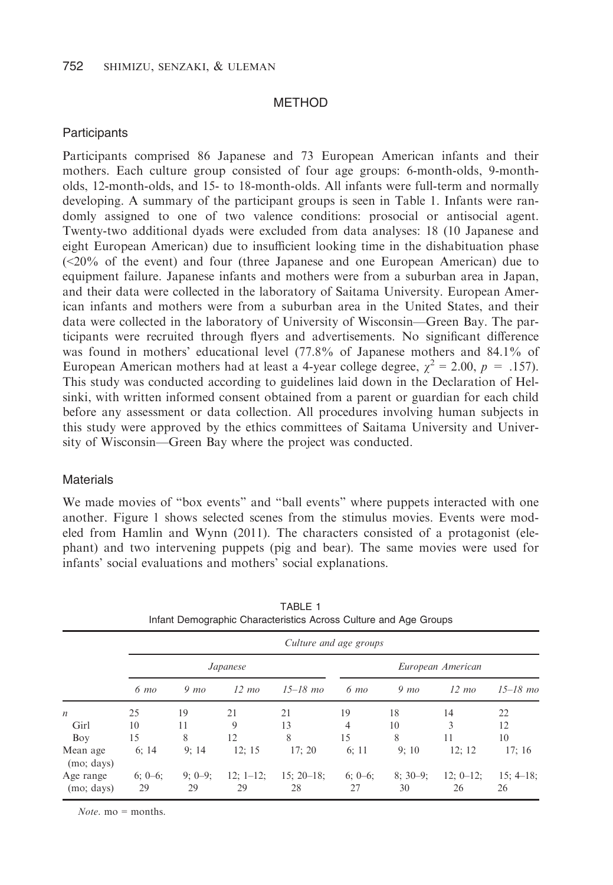# METHOD

# **Participants**

Participants comprised 86 Japanese and 73 European American infants and their mothers. Each culture group consisted of four age groups: 6-month-olds, 9-montholds, 12-month-olds, and 15- to 18-month-olds. All infants were full-term and normally developing. A summary of the participant groups is seen in Table 1. Infants were randomly assigned to one of two valence conditions: prosocial or antisocial agent. Twenty-two additional dyads were excluded from data analyses: 18 (10 Japanese and eight European American) due to insufficient looking time in the dishabituation phase (<20% of the event) and four (three Japanese and one European American) due to equipment failure. Japanese infants and mothers were from a suburban area in Japan, and their data were collected in the laboratory of Saitama University. European American infants and mothers were from a suburban area in the United States, and their data were collected in the laboratory of University of Wisconsin—Green Bay. The participants were recruited through flyers and advertisements. No significant difference was found in mothers' educational level (77.8% of Japanese mothers and 84.1% of European American mothers had at least a 4-year college degree,  $\chi^2 = 2.00$ ,  $p = .157$ ). This study was conducted according to guidelines laid down in the Declaration of Helsinki, with written informed consent obtained from a parent or guardian for each child before any assessment or data collection. All procedures involving human subjects in this study were approved by the ethics committees of Saitama University and University of Wisconsin—Green Bay where the project was conducted.

# **Materials**

We made movies of "box events" and "ball events" where puppets interacted with one another. Figure 1 shows selected scenes from the stimulus movies. Events were modeled from Hamlin and Wynn (2011). The characters consisted of a protagonist (elephant) and two intervening puppets (pig and bear). The same movies were used for infants' social evaluations and mothers' social explanations.

|                         |                 |                |                     |                    | Culture and age groups |                 |                   |                   |
|-------------------------|-----------------|----------------|---------------------|--------------------|------------------------|-----------------|-------------------|-------------------|
|                         |                 |                | Japanese            |                    |                        |                 | European American |                   |
|                         | 6 <i>mo</i>     | $9 \text{ mo}$ | $12 \, \text{mo}$   | $15 - 18$ mo       | 6 <i>mo</i>            | $9 \text{ mo}$  | $12 \, \text{mo}$ | $15 - 18$ mo      |
| $\boldsymbol{n}$        | 25              | 19             | 21                  | 21                 | 19                     | 18              | 14                | 22                |
| Girl                    | 10              | 11             | 9                   | 13                 | 4                      | 10              | 3                 | 12                |
| Boy                     | 15              | 8              | 12                  | 8                  | 15                     | 8               | 11                | 10                |
| Mean age<br>(mo; days)  | 6:14            | 9:14           | 12:15               | 17:20              | 6:11                   | 9:10            | 12:12             | 17; 16            |
| Age range<br>(mo; days) | $6: 0-6:$<br>29 | $9:0-9:$<br>29 | $12; 1 - 12;$<br>29 | $15:20-18$ ;<br>28 | $6: 0-6:$<br>27        | $8:30-9:$<br>30 | $12: 0-12;$<br>26 | $15:4-18$ ;<br>26 |

TABLE 1 Infant Demographic Characteristics Across Culture and Age Groups

*Note*.  $mo = months$ .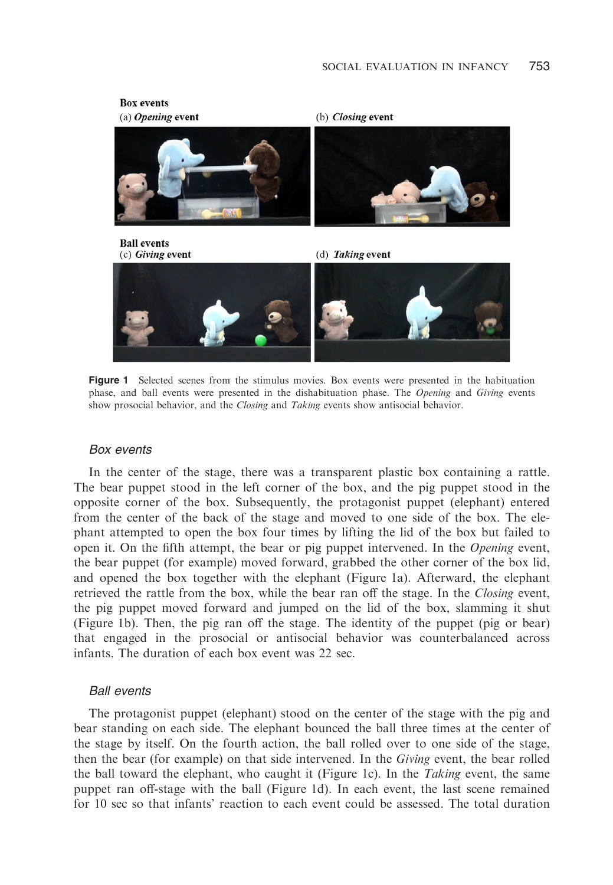

Figure 1 Selected scenes from the stimulus movies. Box events were presented in the habituation phase, and ball events were presented in the dishabituation phase. The Opening and Giving events show prosocial behavior, and the *Closing* and *Taking* events show antisocial behavior.

# Box events

In the center of the stage, there was a transparent plastic box containing a rattle. The bear puppet stood in the left corner of the box, and the pig puppet stood in the opposite corner of the box. Subsequently, the protagonist puppet (elephant) entered from the center of the back of the stage and moved to one side of the box. The elephant attempted to open the box four times by lifting the lid of the box but failed to open it. On the fifth attempt, the bear or pig puppet intervened. In the *Opening* event, the bear puppet (for example) moved forward, grabbed the other corner of the box lid, and opened the box together with the elephant (Figure 1a). Afterward, the elephant retrieved the rattle from the box, while the bear ran off the stage. In the *Closing* event, the pig puppet moved forward and jumped on the lid of the box, slamming it shut (Figure 1b). Then, the pig ran off the stage. The identity of the puppet (pig or bear) that engaged in the prosocial or antisocial behavior was counterbalanced across infants. The duration of each box event was 22 sec.

#### Ball events

The protagonist puppet (elephant) stood on the center of the stage with the pig and bear standing on each side. The elephant bounced the ball three times at the center of the stage by itself. On the fourth action, the ball rolled over to one side of the stage, then the bear (for example) on that side intervened. In the Giving event, the bear rolled the ball toward the elephant, who caught it (Figure 1c). In the Taking event, the same puppet ran off-stage with the ball (Figure 1d). In each event, the last scene remained for 10 sec so that infants' reaction to each event could be assessed. The total duration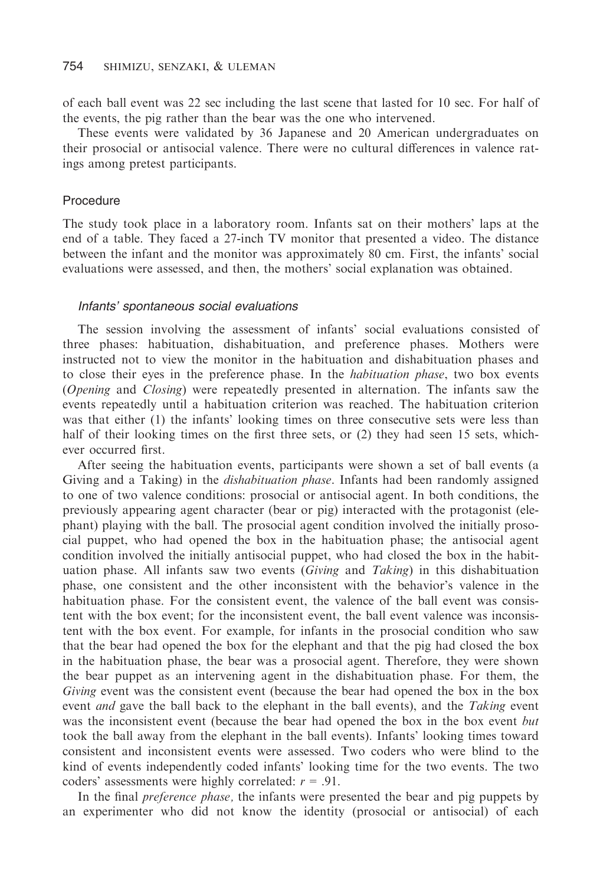of each ball event was 22 sec including the last scene that lasted for 10 sec. For half of the events, the pig rather than the bear was the one who intervened.

These events were validated by 36 Japanese and 20 American undergraduates on their prosocial or antisocial valence. There were no cultural differences in valence ratings among pretest participants.

# Procedure

The study took place in a laboratory room. Infants sat on their mothers' laps at the end of a table. They faced a 27-inch TV monitor that presented a video. The distance between the infant and the monitor was approximately 80 cm. First, the infants' social evaluations were assessed, and then, the mothers' social explanation was obtained.

## Infants' spontaneous social evaluations

The session involving the assessment of infants' social evaluations consisted of three phases: habituation, dishabituation, and preference phases. Mothers were instructed not to view the monitor in the habituation and dishabituation phases and to close their eyes in the preference phase. In the habituation phase, two box events (Opening and Closing) were repeatedly presented in alternation. The infants saw the events repeatedly until a habituation criterion was reached. The habituation criterion was that either (1) the infants' looking times on three consecutive sets were less than half of their looking times on the first three sets, or  $(2)$  they had seen 15 sets, whichever occurred first.

After seeing the habituation events, participants were shown a set of ball events (a Giving and a Taking) in the *dishabituation phase*. Infants had been randomly assigned to one of two valence conditions: prosocial or antisocial agent. In both conditions, the previously appearing agent character (bear or pig) interacted with the protagonist (elephant) playing with the ball. The prosocial agent condition involved the initially prosocial puppet, who had opened the box in the habituation phase; the antisocial agent condition involved the initially antisocial puppet, who had closed the box in the habituation phase. All infants saw two events (Giving and Taking) in this dishabituation phase, one consistent and the other inconsistent with the behavior's valence in the habituation phase. For the consistent event, the valence of the ball event was consistent with the box event; for the inconsistent event, the ball event valence was inconsistent with the box event. For example, for infants in the prosocial condition who saw that the bear had opened the box for the elephant and that the pig had closed the box in the habituation phase, the bear was a prosocial agent. Therefore, they were shown the bear puppet as an intervening agent in the dishabituation phase. For them, the Giving event was the consistent event (because the bear had opened the box in the box event *and* gave the ball back to the elephant in the ball events), and the Taking event was the inconsistent event (because the bear had opened the box in the box event but took the ball away from the elephant in the ball events). Infants' looking times toward consistent and inconsistent events were assessed. Two coders who were blind to the kind of events independently coded infants' looking time for the two events. The two coders' assessments were highly correlated:  $r = .91$ .

In the final preference phase, the infants were presented the bear and pig puppets by an experimenter who did not know the identity (prosocial or antisocial) of each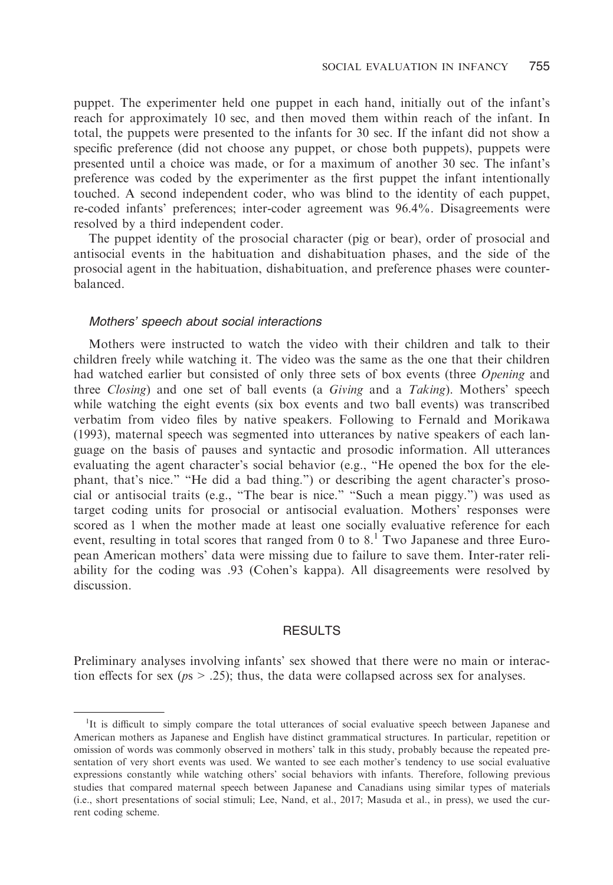puppet. The experimenter held one puppet in each hand, initially out of the infant's reach for approximately 10 sec, and then moved them within reach of the infant. In total, the puppets were presented to the infants for 30 sec. If the infant did not show a specific preference (did not choose any puppet, or chose both puppets), puppets were presented until a choice was made, or for a maximum of another 30 sec. The infant's preference was coded by the experimenter as the first puppet the infant intentionally touched. A second independent coder, who was blind to the identity of each puppet, re-coded infants' preferences; inter-coder agreement was 96.4%. Disagreements were resolved by a third independent coder.

The puppet identity of the prosocial character (pig or bear), order of prosocial and antisocial events in the habituation and dishabituation phases, and the side of the prosocial agent in the habituation, dishabituation, and preference phases were counterbalanced.

#### Mothers' speech about social interactions

Mothers were instructed to watch the video with their children and talk to their children freely while watching it. The video was the same as the one that their children had watched earlier but consisted of only three sets of box events (three *Opening* and three Closing) and one set of ball events (a Giving and a Taking). Mothers' speech while watching the eight events (six box events and two ball events) was transcribed verbatim from video files by native speakers. Following to Fernald and Morikawa (1993), maternal speech was segmented into utterances by native speakers of each language on the basis of pauses and syntactic and prosodic information. All utterances evaluating the agent character's social behavior (e.g., "He opened the box for the elephant, that's nice." "He did a bad thing.") or describing the agent character's prosocial or antisocial traits (e.g., "The bear is nice." "Such a mean piggy.") was used as target coding units for prosocial or antisocial evaluation. Mothers' responses were scored as 1 when the mother made at least one socially evaluative reference for each event, resulting in total scores that ranged from 0 to 8.<sup>1</sup> Two Japanese and three European American mothers' data were missing due to failure to save them. Inter-rater reliability for the coding was .93 (Cohen's kappa). All disagreements were resolved by discussion.

# RESULTS

Preliminary analyses involving infants' sex showed that there were no main or interaction effects for sex ( $ps > .25$ ); thus, the data were collapsed across sex for analyses.

<sup>&</sup>lt;sup>1</sup>It is difficult to simply compare the total utterances of social evaluative speech between Japanese and American mothers as Japanese and English have distinct grammatical structures. In particular, repetition or omission of words was commonly observed in mothers' talk in this study, probably because the repeated presentation of very short events was used. We wanted to see each mother's tendency to use social evaluative expressions constantly while watching others' social behaviors with infants. Therefore, following previous studies that compared maternal speech between Japanese and Canadians using similar types of materials (i.e., short presentations of social stimuli; Lee, Nand, et al., 2017; Masuda et al., in press), we used the current coding scheme.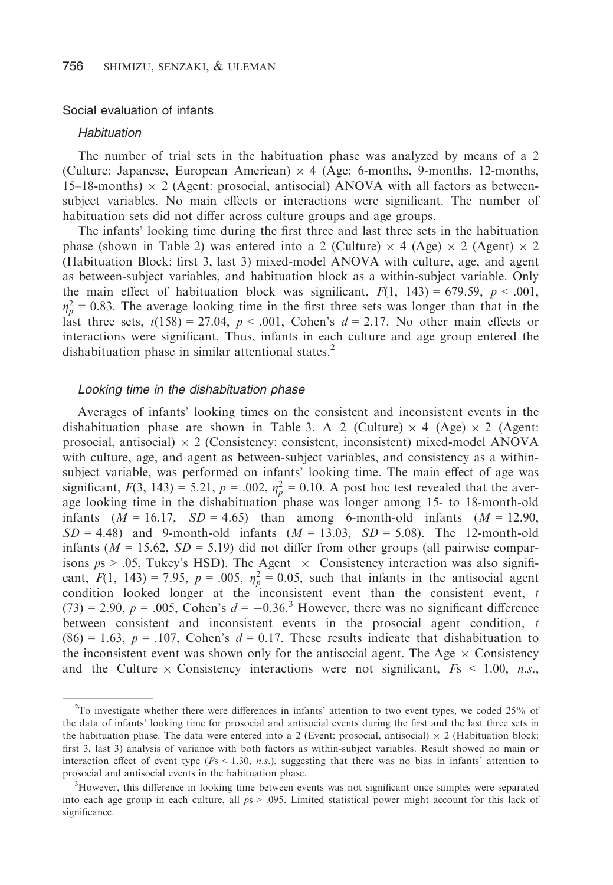# Social evaluation of infants

#### **Habituation**

The number of trial sets in the habituation phase was analyzed by means of a 2 (Culture: Japanese, European American)  $\times$  4 (Age: 6-months, 9-months, 12-months, 15–18-months)  $\times$  2 (Agent: prosocial, antisocial) ANOVA with all factors as betweensubject variables. No main effects or interactions were significant. The number of habituation sets did not differ across culture groups and age groups.

The infants' looking time during the first three and last three sets in the habituation phase (shown in Table 2) was entered into a 2 (Culture)  $\times$  4 (Age)  $\times$  2 (Agent)  $\times$  2 (Habituation Block: first 3, last 3) mixed-model ANOVA with culture, age, and agent as between-subject variables, and habituation block as a within-subject variable. Only the main effect of habituation block was significant,  $F(1, 143) = 679.59$ ,  $p < .001$ ,  $\eta_p^2 = 0.83$ . The average looking time in the first three sets was longer than that in the last three sets  $t(158) = 27.04$   $p \le 0.01$  Cohen's  $d = 2.17$  No other main effects or last three sets,  $t(158) = 27.04$ ,  $p < .001$ , Cohen's  $d = 2.17$ . No other main effects or interactions were significant. Thus, infants in each culture and age group entered the dishabituation phase in similar attentional states.<sup>2</sup>

# Looking time in the dishabituation phase

Averages of infants' looking times on the consistent and inconsistent events in the dishabituation phase are shown in Table 3. A 2 (Culture)  $\times$  4 (Age)  $\times$  2 (Agent: prosocial, antisocial)  $\times$  2 (Consistency: consistent, inconsistent) mixed-model ANOVA with culture, age, and agent as between-subject variables, and consistency as a withinsubject variable, was performed on infants' looking time. The main effect of age was significant,  $F(3, 143) = 5.21$ ,  $p = .002$ ,  $\eta_p^2 = 0.10$ . A post hoc test revealed that the aver-<br>age looking time in the dishabituation phase was longer among 15- to 18-month-old age looking time in the dishabituation phase was longer among 15- to 18-month-old infants  $(M = 16.17, SD = 4.65)$  than among 6-month-old infants  $(M = 12.90,$  $SD = 4.48$ ) and 9-month-old infants ( $M = 13.03$ ,  $SD = 5.08$ ). The 12-month-old infants ( $M = 15.62$ ,  $SD = 5.19$ ) did not differ from other groups (all pairwise comparisons  $ps > .05$ , Tukey's HSD). The Agent  $\times$  Consistency interaction was also significant,  $F(1, 143) = 7.95$ ,  $p = .005$ ,  $\eta_p^2 = 0.05$ , such that infants in the antisocial agent<br>condition looked longer at the inconsistent event than the consistent event t condition looked longer at the inconsistent event than the consistent event, t  $(73) = 2.90$ ,  $p = .005$ , Cohen's  $d = -0.36$ .<sup>3</sup> However, there was no significant difference between consistent and inconsistent events in the prosocial agent condition, t  $(86) = 1.63$ ,  $p = .107$ , Cohen's  $d = 0.17$ . These results indicate that dishabituation to the inconsistent event was shown only for the antisocial agent. The Age  $\times$  Consistency and the Culture  $\times$  Consistency interactions were not significant,  $Fs \le 1.00$ , n.s.,

<sup>&</sup>lt;sup>2</sup>To investigate whether there were differences in infants' attention to two event types, we coded 25% of the data of infants' looking time for prosocial and antisocial events during the first and the last three sets in the habituation phase. The data were entered into a 2 (Event: prosocial, antisocial)  $\times$  2 (Habituation block: first 3, last 3) analysis of variance with both factors as within-subject variables. Result showed no main or interaction effect of event type ( $Fs < 1.30$ , n.s.), suggesting that there was no bias in infants' attention to prosocial and antisocial events in the habituation phase.

<sup>&</sup>lt;sup>3</sup>However, this difference in looking time between events was not significant once samples were separated into each age group in each culture, all ps > .095. Limited statistical power might account for this lack of significance.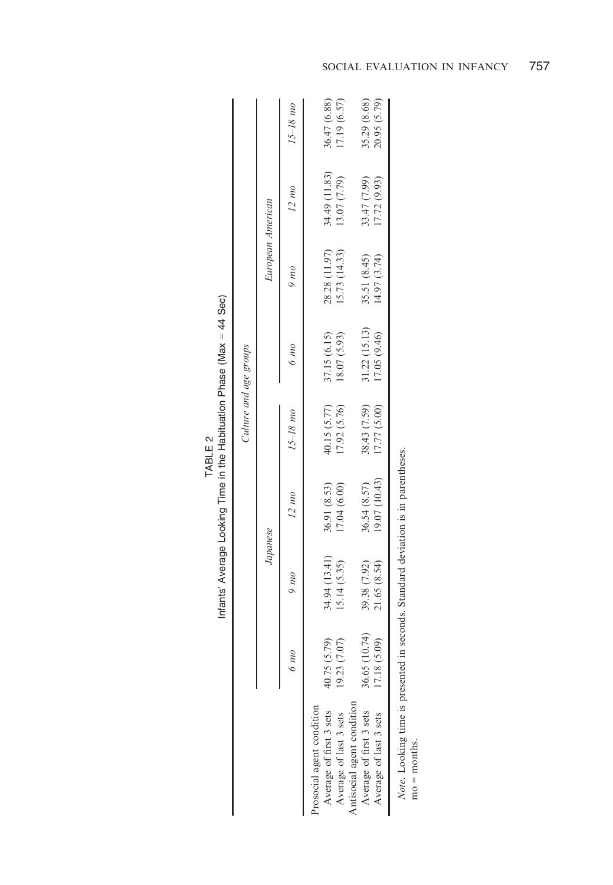|                                                                                          |                  |               |               | Culture and age groups |                              |                   |               |              |
|------------------------------------------------------------------------------------------|------------------|---------------|---------------|------------------------|------------------------------|-------------------|---------------|--------------|
|                                                                                          |                  | Japanese      |               |                        |                              | European American |               |              |
|                                                                                          | $\frac{6}{10}$   | $9 \,$ mo     | $12 \, mo$    | $15-18$ mo             | $6 \,$ m $\sigma$            | $9 \; m o$        | $12 \,$ mo    | $15 - 18$ mo |
| rosocial agent condition                                                                 |                  |               |               |                        |                              |                   |               |              |
| Average of first 3 sets                                                                  | (5.79)<br>40.75  | 34.94 (13.41) | 36.91 (8.53)  | 40.15 (5.77)           |                              | 28.28 (11.97)     | 34.49 (11.83) | 36.47 (6.88) |
| Average of last 3 sets                                                                   | (7.07)<br>19.23  | 15.14 (5.35)  | 17.04 (6.00)  | 17.92 (5.76)           | 37.15 (6.15)<br>18.07 (5.93) | 15.73 (14.33)     | 13.07 (7.79)  | 17.19 (6.57) |
| Antisocial agent condition                                                               |                  |               |               |                        |                              |                   |               |              |
| Average of first 3 sets                                                                  | (10.74)<br>36.65 | 39.38 (7.92)  | 36.54 (8.57)  | 38.43 (7.59)           | 31.22 (15.13)                | 35.51 (8.45)      | 33.47 (7.99)  | 35.29 (8.68) |
| Average of last 3 sets                                                                   | (5.09)<br>17.18  | 21.65 (8.54)  | 19.07 (10.43) | 17.77 (5.00)           | 17.05 (9.46)                 | 14.97 (3.74)      | 17.72 (9.93)  | 20.95 (5.79) |
| <i>Note.</i> Looking time is presented in seconds. Standard deviation is in parentheses. |                  |               |               |                        |                              |                   |               |              |

 $m_0 =$  months. mo = months.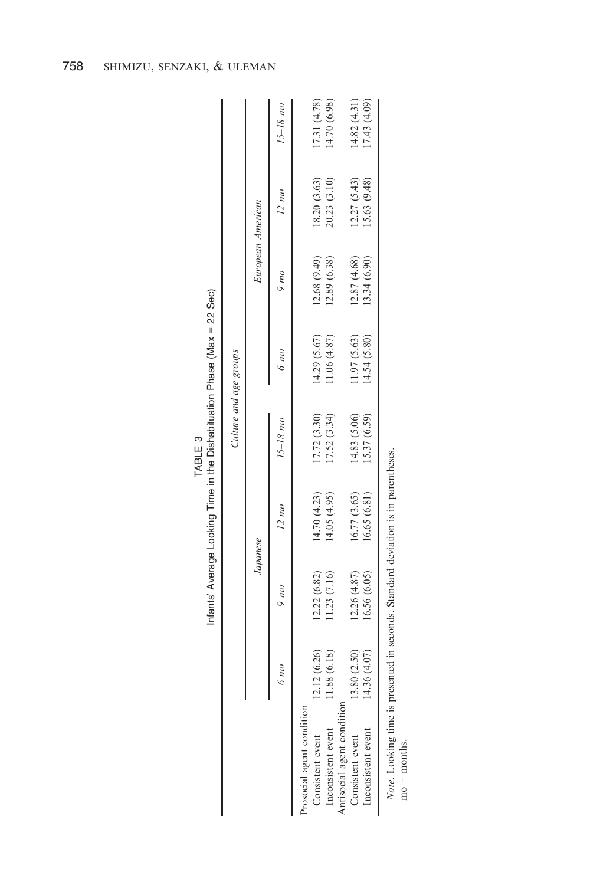|                                 |                       |                                                  |              |              | Culture and age groups |              |                   |              |
|---------------------------------|-----------------------|--------------------------------------------------|--------------|--------------|------------------------|--------------|-------------------|--------------|
|                                 |                       | Japanese                                         |              |              |                        |              | European American |              |
|                                 | $\omega$ out $\omega$ | $9 \,$ mo                                        | $12 \,$ mo   | 15-18 mo     | $\delta$ mo            | $9 \,$ mo    | $12 \,$ mo        | $15-18$ mo   |
| Prosocial agent condition       |                       |                                                  |              |              |                        |              |                   |              |
| Consistent event                | 12.12 (6.26)          | 12.22(6.82)                                      | 14.70 (4.23) | 17.72 (3.30) | 14.29(5.67)            | 12.68(9.49)  | 18.20 (3.63)      | (7.31(4.78)) |
| Inconsistent event              | 11.88 (6.18)          | 11.23 (7.16)                                     | (4.05(4.95)) | 17.52(3.34)  | 11.06 (4.87)           | 12.89 (6.38) | 20.23(3.10)       | (4.70)(6.98) |
| Antisocial agent condition      |                       |                                                  |              |              |                        |              |                   |              |
| Consistent event                | 13.80 (2.50)          | 12.26(4.87)                                      | 16.77 (3.65) | 14.83 (5.06) | 11.97 (5.63)           | 12.87 (4.68) | 12.27(5.43)       | 14.82 (4.31) |
| Inconsistent event              | 14.36 (4.07)          | 16.56 (6.05)                                     | 16.65(6.81)  | 15.37 (6.59) | 14.54 (5.80)           | 13.34 (6.90) | 15.63 (9.48)      | (7.43(4.09)) |
| Note. Looking time is presented |                       | in seconds. Standard deviation is in parentheses |              |              |                        |              |                   |              |

 $m_0 =$  months. mo = months.

TABLE 3 Infants' Average Looking Time in the Dishabituation Phase (Max = 22 Sec)

TABLE 3<br>Infants' Average Looking Time in the Dishabituation Phase (Max = 22 Sec)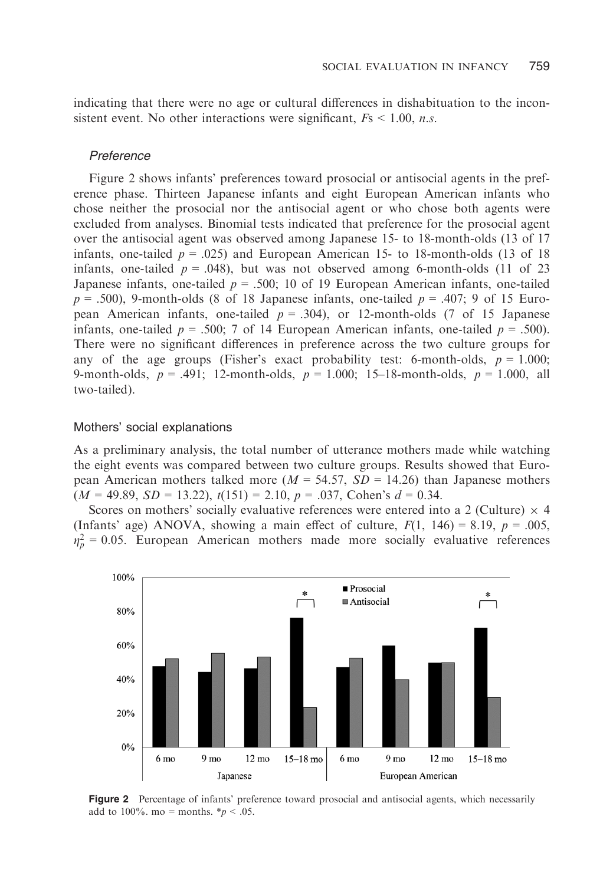indicating that there were no age or cultural differences in dishabituation to the inconsistent event. No other interactions were significant,  $Fs < 1.00$ , n.s.

#### **Preference**

Figure 2 shows infants' preferences toward prosocial or antisocial agents in the preference phase. Thirteen Japanese infants and eight European American infants who chose neither the prosocial nor the antisocial agent or who chose both agents were excluded from analyses. Binomial tests indicated that preference for the prosocial agent over the antisocial agent was observed among Japanese 15- to 18-month-olds (13 of 17 infants, one-tailed  $p = .025$ ) and European American 15- to 18-month-olds (13 of 18) infants, one-tailed  $p = .048$ ), but was not observed among 6-month-olds (11 of 23 Japanese infants, one-tailed  $p = .500; 10$  of 19 European American infants, one-tailed  $p = .500$ , 9-month-olds (8 of 18 Japanese infants, one-tailed  $p = .407$ ; 9 of 15 European American infants, one-tailed  $p = .304$ ), or 12-month-olds (7 of 15 Japanese infants, one-tailed  $p = .500$ ; 7 of 14 European American infants, one-tailed  $p = .500$ . There were no significant differences in preference across the two culture groups for any of the age groups (Fisher's exact probability test: 6-month-olds,  $p = 1.000$ ; 9-month-olds,  $p = .491$ ; 12-month-olds,  $p = 1.000$ ; 15–18-month-olds,  $p = 1.000$ , all two-tailed).

# Mothers' social explanations

As a preliminary analysis, the total number of utterance mothers made while watching the eight events was compared between two culture groups. Results showed that European American mothers talked more ( $M = 54.57$ ,  $SD = 14.26$ ) than Japanese mothers  $(M = 49.89, SD = 13.22), t(151) = 2.10, p = .037, Cohen's d = 0.34.$ 

Scores on mothers' socially evaluative references were entered into a 2 (Culture)  $\times$  4 (Infants' age) ANOVA, showing a main effect of culture,  $F(1, 146) = 8.19$ ,  $p = .005$ ,  $\eta_p^2 = 0.05$ . European American mothers made more socially evaluative references



Figure 2 Percentage of infants' preference toward prosocial and antisocial agents, which necessarily add to 100%. mo = months.  $* p < .05$ .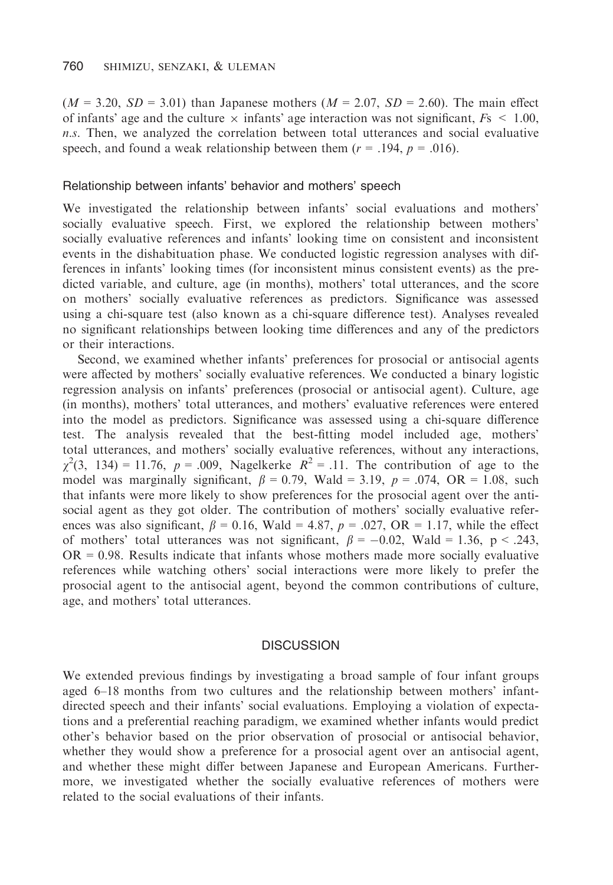$(M = 3.20, SD = 3.01)$  than Japanese mothers  $(M = 2.07, SD = 2.60)$ . The main effect of infants' age and the culture  $\times$  infants' age interaction was not significant,  $Fs < 1.00$ , n.s. Then, we analyzed the correlation between total utterances and social evaluative speech, and found a weak relationship between them  $(r = .194, p = .016)$ .

# Relationship between infants' behavior and mothers' speech

We investigated the relationship between infants' social evaluations and mothers' socially evaluative speech. First, we explored the relationship between mothers' socially evaluative references and infants' looking time on consistent and inconsistent events in the dishabituation phase. We conducted logistic regression analyses with differences in infants' looking times (for inconsistent minus consistent events) as the predicted variable, and culture, age (in months), mothers' total utterances, and the score on mothers' socially evaluative references as predictors. Significance was assessed using a chi-square test (also known as a chi-square difference test). Analyses revealed no significant relationships between looking time differences and any of the predictors or their interactions.

Second, we examined whether infants' preferences for prosocial or antisocial agents were affected by mothers' socially evaluative references. We conducted a binary logistic regression analysis on infants' preferences (prosocial or antisocial agent). Culture, age (in months), mothers' total utterances, and mothers' evaluative references were entered into the model as predictors. Significance was assessed using a chi-square difference test. The analysis revealed that the best-fitting model included age, mothers' total utterances, and mothers' socially evaluative references, without any interactions,  $\chi^2(3, 134) = 11.76$ ,  $p = .009$ , Nagelkerke  $R^2 = .11$ . The contribution of age to the model was marginally significant  $\beta = 0.79$  Wald = 3.19  $p = .074$  OR = 1.08 such model was marginally significant,  $\beta = 0.79$ , Wald = 3.19,  $p = .074$ , OR = 1.08, such that infants were more likely to show preferences for the prosocial agent over the antisocial agent as they got older. The contribution of mothers' socially evaluative references was also significant,  $\beta = 0.16$ , Wald = 4.87,  $p = .027$ , OR = 1.17, while the effect of mothers' total utterances was not significant,  $\beta = -0.02$ , Wald = 1.36, p < .243,  $OR = 0.98$ . Results indicate that infants whose mothers made more socially evaluative references while watching others' social interactions were more likely to prefer the prosocial agent to the antisocial agent, beyond the common contributions of culture, age, and mothers' total utterances.

# **DISCUSSION**

We extended previous findings by investigating a broad sample of four infant groups aged 6–18 months from two cultures and the relationship between mothers' infantdirected speech and their infants' social evaluations. Employing a violation of expectations and a preferential reaching paradigm, we examined whether infants would predict other's behavior based on the prior observation of prosocial or antisocial behavior, whether they would show a preference for a prosocial agent over an antisocial agent, and whether these might differ between Japanese and European Americans. Furthermore, we investigated whether the socially evaluative references of mothers were related to the social evaluations of their infants.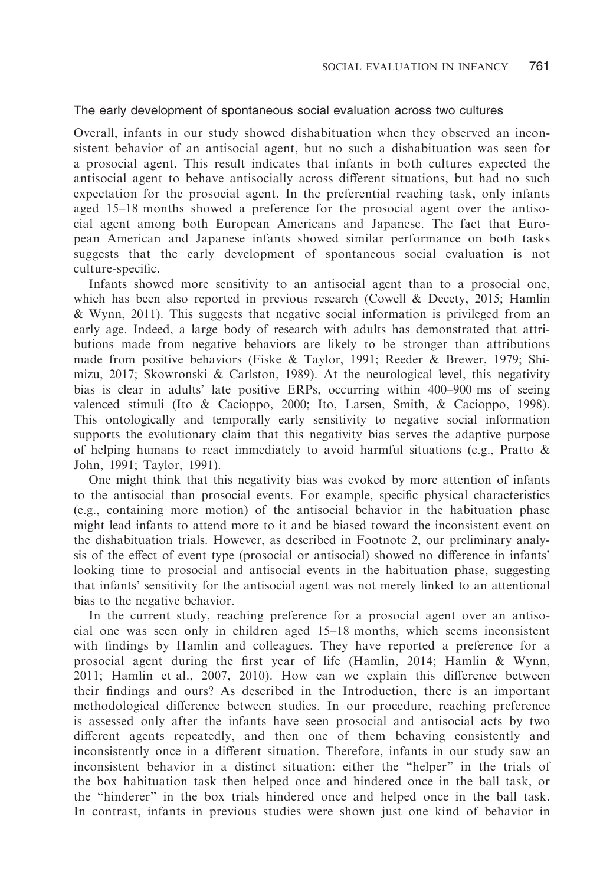## The early development of spontaneous social evaluation across two cultures

Overall, infants in our study showed dishabituation when they observed an inconsistent behavior of an antisocial agent, but no such a dishabituation was seen for a prosocial agent. This result indicates that infants in both cultures expected the antisocial agent to behave antisocially across different situations, but had no such expectation for the prosocial agent. In the preferential reaching task, only infants aged 15–18 months showed a preference for the prosocial agent over the antisocial agent among both European Americans and Japanese. The fact that European American and Japanese infants showed similar performance on both tasks suggests that the early development of spontaneous social evaluation is not culture-specific.

Infants showed more sensitivity to an antisocial agent than to a prosocial one, which has been also reported in previous research (Cowell & Decety, 2015; Hamlin & Wynn, 2011). This suggests that negative social information is privileged from an early age. Indeed, a large body of research with adults has demonstrated that attributions made from negative behaviors are likely to be stronger than attributions made from positive behaviors (Fiske & Taylor, 1991; Reeder & Brewer, 1979; Shimizu, 2017; Skowronski & Carlston, 1989). At the neurological level, this negativity bias is clear in adults' late positive ERPs, occurring within 400–900 ms of seeing valenced stimuli (Ito & Cacioppo, 2000; Ito, Larsen, Smith, & Cacioppo, 1998). This ontologically and temporally early sensitivity to negative social information supports the evolutionary claim that this negativity bias serves the adaptive purpose of helping humans to react immediately to avoid harmful situations (e.g., Pratto  $\&$ John, 1991; Taylor, 1991).

One might think that this negativity bias was evoked by more attention of infants to the antisocial than prosocial events. For example, specific physical characteristics (e.g., containing more motion) of the antisocial behavior in the habituation phase might lead infants to attend more to it and be biased toward the inconsistent event on the dishabituation trials. However, as described in Footnote 2, our preliminary analysis of the effect of event type (prosocial or antisocial) showed no difference in infants' looking time to prosocial and antisocial events in the habituation phase, suggesting that infants' sensitivity for the antisocial agent was not merely linked to an attentional bias to the negative behavior.

In the current study, reaching preference for a prosocial agent over an antisocial one was seen only in children aged 15–18 months, which seems inconsistent with findings by Hamlin and colleagues. They have reported a preference for a prosocial agent during the first year of life (Hamlin, 2014; Hamlin & Wynn, 2011; Hamlin et al., 2007, 2010). How can we explain this difference between their findings and ours? As described in the Introduction, there is an important methodological difference between studies. In our procedure, reaching preference is assessed only after the infants have seen prosocial and antisocial acts by two different agents repeatedly, and then one of them behaving consistently and inconsistently once in a different situation. Therefore, infants in our study saw an inconsistent behavior in a distinct situation: either the "helper" in the trials of the box habituation task then helped once and hindered once in the ball task, or the "hinderer" in the box trials hindered once and helped once in the ball task. In contrast, infants in previous studies were shown just one kind of behavior in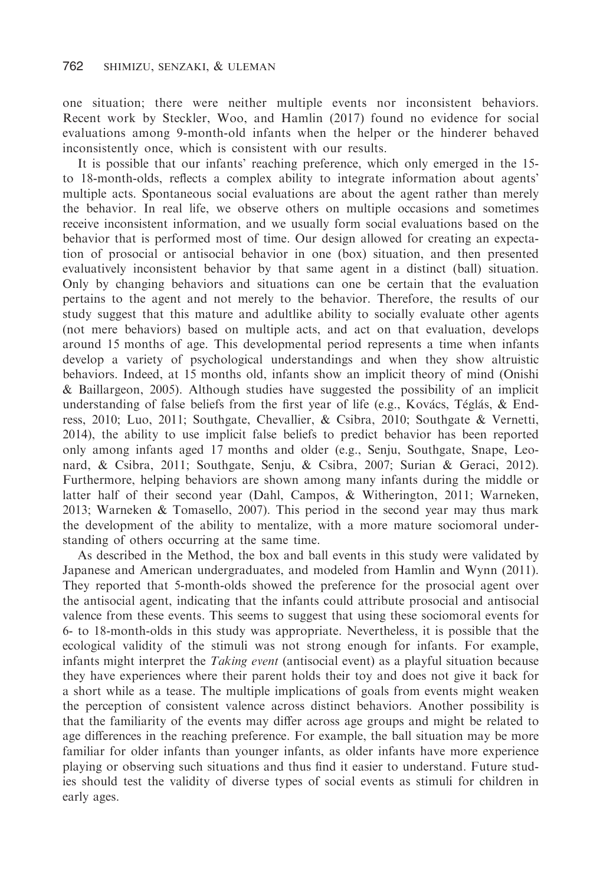one situation; there were neither multiple events nor inconsistent behaviors. Recent work by Steckler, Woo, and Hamlin (2017) found no evidence for social evaluations among 9-month-old infants when the helper or the hinderer behaved inconsistently once, which is consistent with our results.

It is possible that our infants' reaching preference, which only emerged in the 15 to 18-month-olds, reflects a complex ability to integrate information about agents' multiple acts. Spontaneous social evaluations are about the agent rather than merely the behavior. In real life, we observe others on multiple occasions and sometimes receive inconsistent information, and we usually form social evaluations based on the behavior that is performed most of time. Our design allowed for creating an expectation of prosocial or antisocial behavior in one (box) situation, and then presented evaluatively inconsistent behavior by that same agent in a distinct (ball) situation. Only by changing behaviors and situations can one be certain that the evaluation pertains to the agent and not merely to the behavior. Therefore, the results of our study suggest that this mature and adultlike ability to socially evaluate other agents (not mere behaviors) based on multiple acts, and act on that evaluation, develops around 15 months of age. This developmental period represents a time when infants develop a variety of psychological understandings and when they show altruistic behaviors. Indeed, at 15 months old, infants show an implicit theory of mind (Onishi & Baillargeon, 2005). Although studies have suggested the possibility of an implicit understanding of false beliefs from the first year of life (e.g., Kovács, Téglás, & Endress, 2010; Luo, 2011; Southgate, Chevallier, & Csibra, 2010; Southgate & Vernetti, 2014), the ability to use implicit false beliefs to predict behavior has been reported only among infants aged 17 months and older (e.g., Senju, Southgate, Snape, Leonard, & Csibra, 2011; Southgate, Senju, & Csibra, 2007; Surian & Geraci, 2012). Furthermore, helping behaviors are shown among many infants during the middle or latter half of their second year (Dahl, Campos, & Witherington, 2011; Warneken, 2013; Warneken & Tomasello, 2007). This period in the second year may thus mark the development of the ability to mentalize, with a more mature sociomoral understanding of others occurring at the same time.

As described in the Method, the box and ball events in this study were validated by Japanese and American undergraduates, and modeled from Hamlin and Wynn (2011). They reported that 5-month-olds showed the preference for the prosocial agent over the antisocial agent, indicating that the infants could attribute prosocial and antisocial valence from these events. This seems to suggest that using these sociomoral events for 6- to 18-month-olds in this study was appropriate. Nevertheless, it is possible that the ecological validity of the stimuli was not strong enough for infants. For example, infants might interpret the *Taking event* (antisocial event) as a playful situation because they have experiences where their parent holds their toy and does not give it back for a short while as a tease. The multiple implications of goals from events might weaken the perception of consistent valence across distinct behaviors. Another possibility is that the familiarity of the events may differ across age groups and might be related to age differences in the reaching preference. For example, the ball situation may be more familiar for older infants than younger infants, as older infants have more experience playing or observing such situations and thus find it easier to understand. Future studies should test the validity of diverse types of social events as stimuli for children in early ages.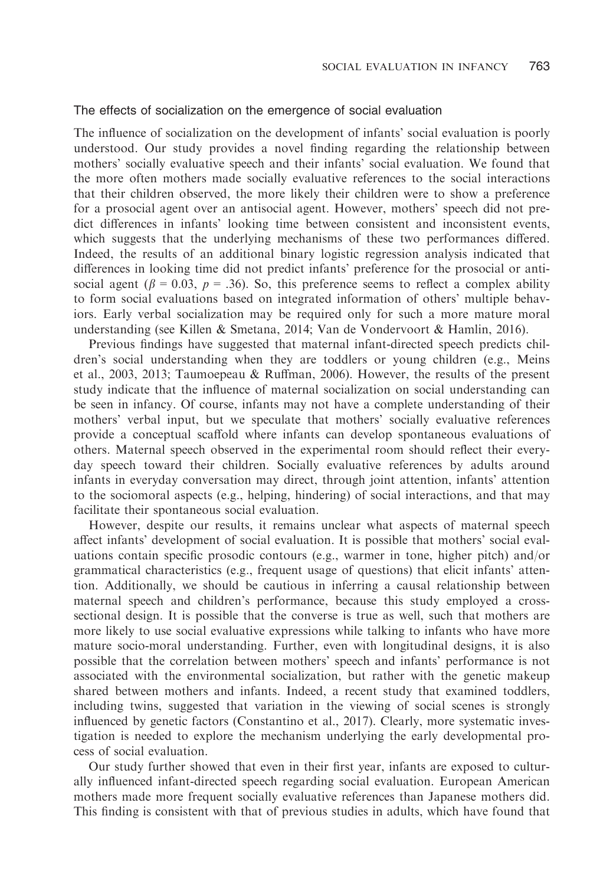## The effects of socialization on the emergence of social evaluation

The influence of socialization on the development of infants' social evaluation is poorly understood. Our study provides a novel finding regarding the relationship between mothers' socially evaluative speech and their infants' social evaluation. We found that the more often mothers made socially evaluative references to the social interactions that their children observed, the more likely their children were to show a preference for a prosocial agent over an antisocial agent. However, mothers' speech did not predict differences in infants' looking time between consistent and inconsistent events, which suggests that the underlying mechanisms of these two performances differed. Indeed, the results of an additional binary logistic regression analysis indicated that differences in looking time did not predict infants' preference for the prosocial or antisocial agent ( $\beta$  = 0.03,  $p$  = .36). So, this preference seems to reflect a complex ability to form social evaluations based on integrated information of others' multiple behaviors. Early verbal socialization may be required only for such a more mature moral understanding (see Killen & Smetana, 2014; Van de Vondervoort & Hamlin, 2016).

Previous findings have suggested that maternal infant-directed speech predicts children's social understanding when they are toddlers or young children (e.g., Meins et al., 2003, 2013; Taumoepeau & Ruffman, 2006). However, the results of the present study indicate that the influence of maternal socialization on social understanding can be seen in infancy. Of course, infants may not have a complete understanding of their mothers' verbal input, but we speculate that mothers' socially evaluative references provide a conceptual scaffold where infants can develop spontaneous evaluations of others. Maternal speech observed in the experimental room should reflect their everyday speech toward their children. Socially evaluative references by adults around infants in everyday conversation may direct, through joint attention, infants' attention to the sociomoral aspects (e.g., helping, hindering) of social interactions, and that may facilitate their spontaneous social evaluation.

However, despite our results, it remains unclear what aspects of maternal speech affect infants' development of social evaluation. It is possible that mothers' social evaluations contain specific prosodic contours (e.g., warmer in tone, higher pitch) and/or grammatical characteristics (e.g., frequent usage of questions) that elicit infants' attention. Additionally, we should be cautious in inferring a causal relationship between maternal speech and children's performance, because this study employed a crosssectional design. It is possible that the converse is true as well, such that mothers are more likely to use social evaluative expressions while talking to infants who have more mature socio-moral understanding. Further, even with longitudinal designs, it is also possible that the correlation between mothers' speech and infants' performance is not associated with the environmental socialization, but rather with the genetic makeup shared between mothers and infants. Indeed, a recent study that examined toddlers, including twins, suggested that variation in the viewing of social scenes is strongly influenced by genetic factors (Constantino et al., 2017). Clearly, more systematic investigation is needed to explore the mechanism underlying the early developmental process of social evaluation.

Our study further showed that even in their first year, infants are exposed to culturally influenced infant-directed speech regarding social evaluation. European American mothers made more frequent socially evaluative references than Japanese mothers did. This finding is consistent with that of previous studies in adults, which have found that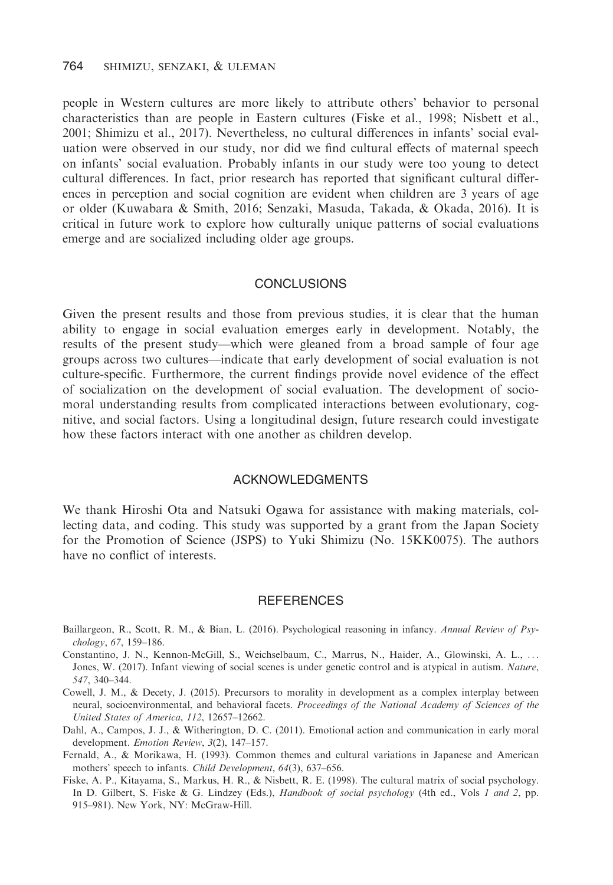people in Western cultures are more likely to attribute others' behavior to personal characteristics than are people in Eastern cultures (Fiske et al., 1998; Nisbett et al., 2001; Shimizu et al., 2017). Nevertheless, no cultural differences in infants' social evaluation were observed in our study, nor did we find cultural effects of maternal speech on infants' social evaluation. Probably infants in our study were too young to detect cultural differences. In fact, prior research has reported that significant cultural differences in perception and social cognition are evident when children are 3 years of age or older (Kuwabara & Smith, 2016; Senzaki, Masuda, Takada, & Okada, 2016). It is critical in future work to explore how culturally unique patterns of social evaluations emerge and are socialized including older age groups.

# **CONCLUSIONS**

Given the present results and those from previous studies, it is clear that the human ability to engage in social evaluation emerges early in development. Notably, the results of the present study—which were gleaned from a broad sample of four age groups across two cultures—indicate that early development of social evaluation is not culture-specific. Furthermore, the current findings provide novel evidence of the effect of socialization on the development of social evaluation. The development of sociomoral understanding results from complicated interactions between evolutionary, cognitive, and social factors. Using a longitudinal design, future research could investigate how these factors interact with one another as children develop.

# ACKNOWLEDGMENTS

We thank Hiroshi Ota and Natsuki Ogawa for assistance with making materials, collecting data, and coding. This study was supported by a grant from the Japan Society for the Promotion of Science (JSPS) to Yuki Shimizu (No. 15KK0075). The authors have no conflict of interests.

#### **REFERENCES**

- Baillargeon, R., Scott, R. M., & Bian, L. (2016). Psychological reasoning in infancy. Annual Review of Psychology, 67, 159–186.
- Constantino, J. N., Kennon-McGill, S., Weichselbaum, C., Marrus, N., Haider, A., Glowinski, A. L., ... Jones, W. (2017). Infant viewing of social scenes is under genetic control and is atypical in autism. Nature, 547, 340–344.
- Cowell, J. M., & Decety, J. (2015). Precursors to morality in development as a complex interplay between neural, socioenvironmental, and behavioral facets. Proceedings of the National Academy of Sciences of the United States of America, 112, 12657–12662.
- Dahl, A., Campos, J. J., & Witherington, D. C. (2011). Emotional action and communication in early moral development. Emotion Review, 3(2), 147–157.
- Fernald, A., & Morikawa, H. (1993). Common themes and cultural variations in Japanese and American mothers' speech to infants. Child Development, 64(3), 637–656.
- Fiske, A. P., Kitayama, S., Markus, H. R., & Nisbett, R. E. (1998). The cultural matrix of social psychology. In D. Gilbert, S. Fiske & G. Lindzey (Eds.), *Handbook of social psychology* (4th ed., Vols 1 and 2, pp. 915–981). New York, NY: McGraw-Hill.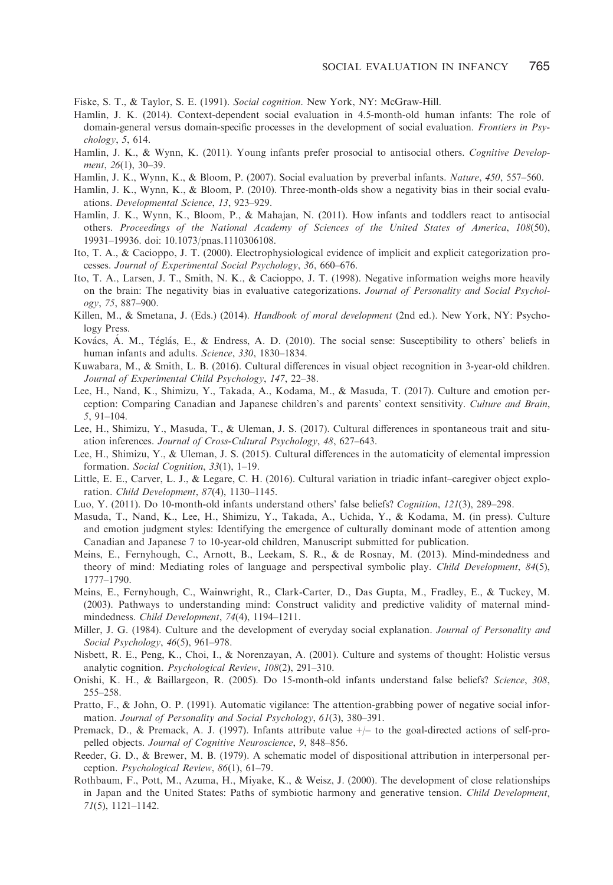Fiske, S. T., & Taylor, S. E. (1991). Social cognition. New York, NY: McGraw-Hill.

- Hamlin, J. K. (2014). Context-dependent social evaluation in 4.5-month-old human infants: The role of domain-general versus domain-specific processes in the development of social evaluation. Frontiers in Psychology, 5, 614.
- Hamlin, J. K., & Wynn, K. (2011). Young infants prefer prosocial to antisocial others. Cognitive Development, 26(1), 30–39.
- Hamlin, J. K., Wynn, K., & Bloom, P. (2007). Social evaluation by preverbal infants. Nature, 450, 557–560.
- Hamlin, J. K., Wynn, K., & Bloom, P. (2010). Three-month-olds show a negativity bias in their social evaluations. Developmental Science, 13, 923–929.
- Hamlin, J. K., Wynn, K., Bloom, P., & Mahajan, N. (2011). How infants and toddlers react to antisocial others. Proceedings of the National Academy of Sciences of the United States of America, 108(50), 19931–19936. doi: [10.1073/pnas.1110306108.](https://doi.org/10.1073/pnas.1110306108)
- Ito, T. A., & Cacioppo, J. T. (2000). Electrophysiological evidence of implicit and explicit categorization processes. Journal of Experimental Social Psychology, 36, 660–676.
- Ito, T. A., Larsen, J. T., Smith, N. K., & Cacioppo, J. T. (1998). Negative information weighs more heavily on the brain: The negativity bias in evaluative categorizations. Journal of Personality and Social Psychology, 75, 887–900.
- Killen, M., & Smetana, J. (Eds.) (2014). Handbook of moral development (2nd ed.). New York, NY: Psychology Press.
- Kovács, A. M., Téglás, E., & Endress, A. D. (2010). The social sense: Susceptibility to others' beliefs in human infants and adults. Science, 330, 1830-1834.
- Kuwabara, M., & Smith, L. B. (2016). Cultural differences in visual object recognition in 3-year-old children. Journal of Experimental Child Psychology, 147, 22–38.
- Lee, H., Nand, K., Shimizu, Y., Takada, A., Kodama, M., & Masuda, T. (2017). Culture and emotion perception: Comparing Canadian and Japanese children's and parents' context sensitivity. Culture and Brain, 5, 91–104.
- Lee, H., Shimizu, Y., Masuda, T., & Uleman, J. S. (2017). Cultural differences in spontaneous trait and situation inferences. Journal of Cross-Cultural Psychology, 48, 627–643.
- Lee, H., Shimizu, Y., & Uleman, J. S. (2015). Cultural differences in the automaticity of elemental impression formation. Social Cognition, 33(1), 1-19.
- Little, E. E., Carver, L. J., & Legare, C. H. (2016). Cultural variation in triadic infant–caregiver object exploration. Child Development, 87(4), 1130–1145.
- Luo, Y. (2011). Do 10-month-old infants understand others' false beliefs? Cognition, 121(3), 289–298.
- Masuda, T., Nand, K., Lee, H., Shimizu, Y., Takada, A., Uchida, Y., & Kodama, M. (in press). Culture and emotion judgment styles: Identifying the emergence of culturally dominant mode of attention among Canadian and Japanese 7 to 10-year-old children, Manuscript submitted for publication.
- Meins, E., Fernyhough, C., Arnott, B., Leekam, S. R., & de Rosnay, M. (2013). Mind-mindedness and theory of mind: Mediating roles of language and perspectival symbolic play. Child Development, 84(5), 1777–1790.
- Meins, E., Fernyhough, C., Wainwright, R., Clark-Carter, D., Das Gupta, M., Fradley, E., & Tuckey, M. (2003). Pathways to understanding mind: Construct validity and predictive validity of maternal mindmindedness. Child Development, 74(4), 1194–1211.
- Miller, J. G. (1984). Culture and the development of everyday social explanation. Journal of Personality and Social Psychology, 46(5), 961–978.
- Nisbett, R. E., Peng, K., Choi, I., & Norenzayan, A. (2001). Culture and systems of thought: Holistic versus analytic cognition. Psychological Review, 108(2), 291–310.
- Onishi, K. H., & Baillargeon, R. (2005). Do 15-month-old infants understand false beliefs? Science, 308, 255–258.
- Pratto, F., & John, O. P. (1991). Automatic vigilance: The attention-grabbing power of negative social information. Journal of Personality and Social Psychology, 61(3), 380–391.
- Premack, D., & Premack, A. J. (1997). Infants attribute value  $+/-$  to the goal-directed actions of self-propelled objects. Journal of Cognitive Neuroscience, 9, 848–856.
- Reeder, G. D., & Brewer, M. B. (1979). A schematic model of dispositional attribution in interpersonal perception. Psychological Review, 86(1), 61–79.
- Rothbaum, F., Pott, M., Azuma, H., Miyake, K., & Weisz, J. (2000). The development of close relationships in Japan and the United States: Paths of symbiotic harmony and generative tension. Child Development, 71(5), 1121–1142.